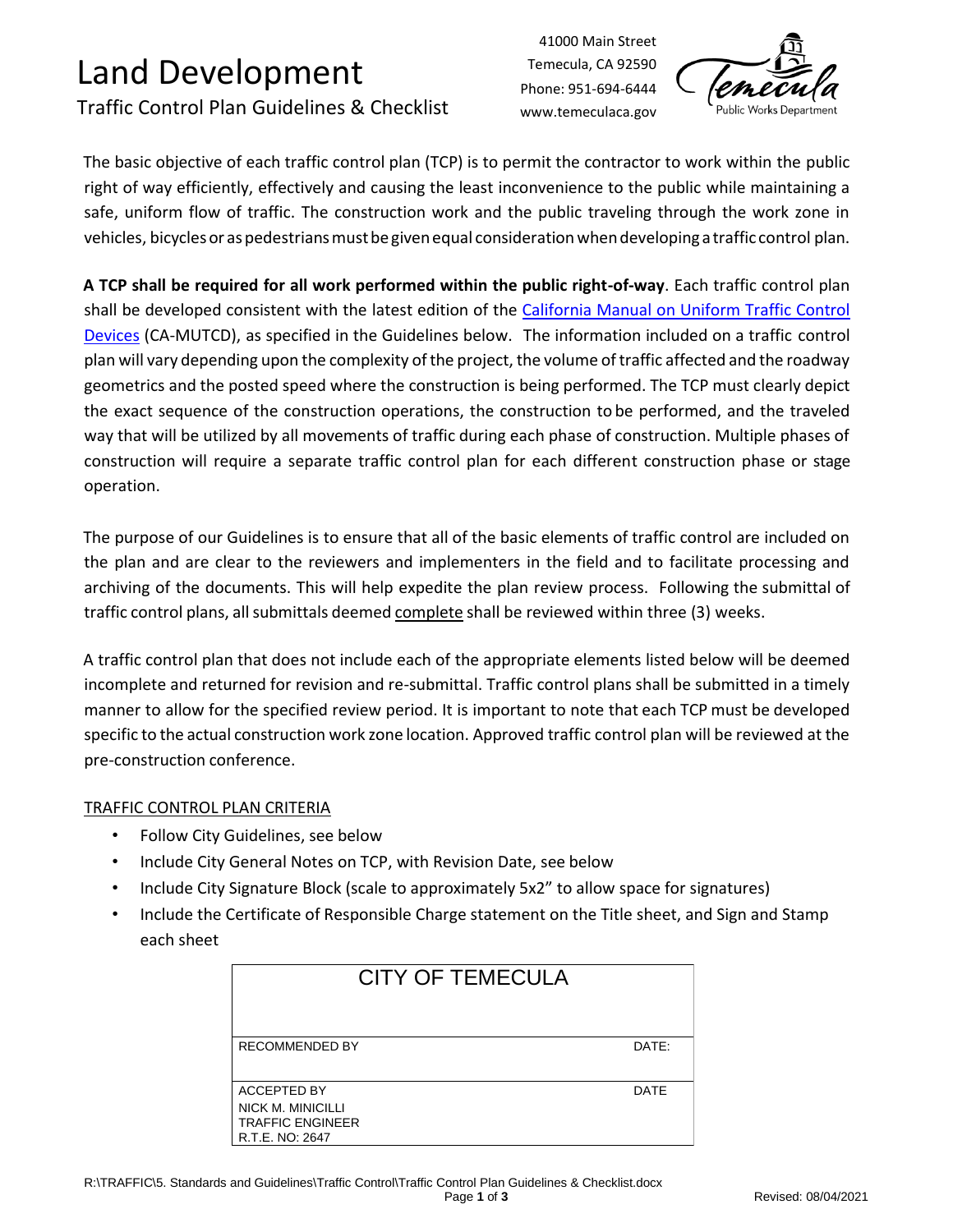# Land Development

### Traffic Control Plan Guidelines & Checklist

41000 Main Street Temecula, CA 92590 Phone: 951-694-6444 www.temeculaca.gov



The basic objective of each traffic control plan (TCP) is to permit the contractor to work within the public right of way efficiently, effectively and causing the least inconvenience to the public while maintaining a safe, uniform flow of traffic. The construction work and the public traveling through the work zone in vehicles, bicycles or as pedestrians must be given equal consideration when developing a traffic control plan.

**A TCP shall be required for all work performed within the public right-of-way**. Each traffic control plan shall be developed consistent with the latest edition of the [California Manual on Uniform Traffic Control](https://dot.ca.gov/programs/traffic-operations/camutcd)  [Devices](https://dot.ca.gov/programs/traffic-operations/camutcd) (CA-MUTCD), as specified in the Guidelines below. The information included on a traffic control plan will vary depending upon the complexity of the project, the volume of traffic affected and the roadway geometrics and the posted speed where the construction is being performed. The TCP must clearly depict the exact sequence of the construction operations, the construction to be performed, and the traveled way that will be utilized by all movements of traffic during each phase of construction. Multiple phases of construction will require a separate traffic control plan for each different construction phase or stage operation.

The purpose of our Guidelines is to ensure that all of the basic elements of traffic control are included on the plan and are clear to the reviewers and implementers in the field and to facilitate processing and archiving of the documents. This will help expedite the plan review process. Following the submittal of traffic control plans, all submittals deemed complete shall be reviewed within three (3) weeks.

A traffic control plan that does not include each of the appropriate elements listed below will be deemed incomplete and returned for revision and re-submittal. Traffic control plans shall be submitted in a timely manner to allow for the specified review period. It is important to note that each TCP must be developed specific to the actual construction work zone location. Approved traffic control plan will be reviewed at the pre-construction conference.

#### TRAFFIC CONTROL PLAN CRITERIA

- Follow City Guidelines, see below
- Include City General Notes on TCP, with Revision Date, see below
- Include City Signature Block (scale to approximately 5x2" to allow space for signatures)
- Include the Certificate of Responsible Charge statement on the Title sheet, and Sign and Stamp each sheet

| <b>CITY OF TEMECULA</b>                                                        |             |
|--------------------------------------------------------------------------------|-------------|
| <b>RECOMMENDED BY</b>                                                          | DATE:       |
| ACCEPTED BY<br>NICK M. MINICILLI<br><b>TRAFFIC ENGINEER</b><br>R.T.E. NO: 2647 | <b>DATE</b> |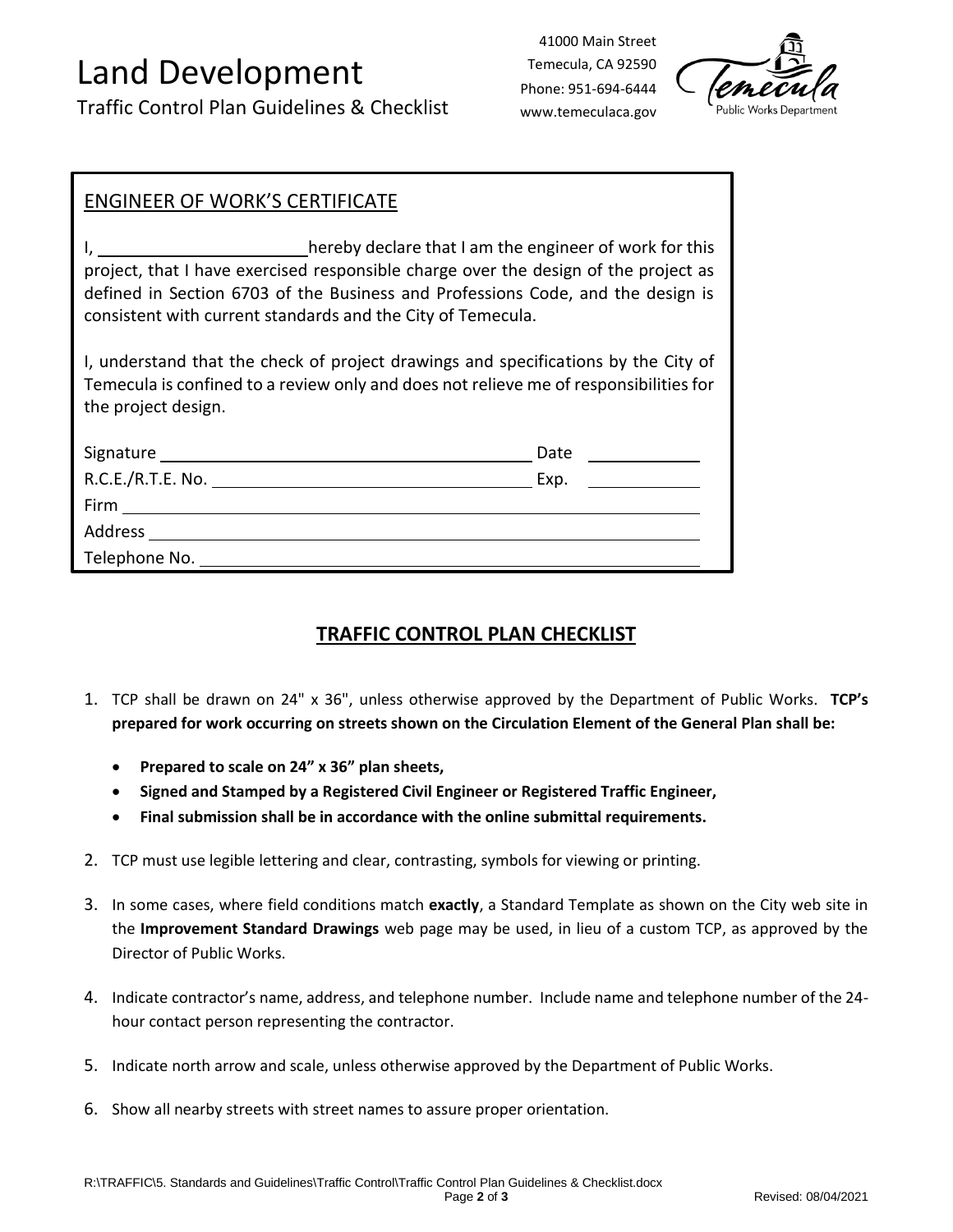# Land Development

Traffic Control Plan Guidelines & Checklist

41000 Main Street Temecula, CA 92590 Phone: 951-694-6444 www.temeculaca.gov



#### ENGINEER OF WORK'S CERTIFICATE

I, hereby declare that I am the engineer of work for this project, that I have exercised responsible charge over the design of the project as defined in Section 6703 of the Business and Professions Code, and the design is consistent with current standards and the City of Temecula.

I, understand that the check of project drawings and specifications by the City of Temecula is confined to a review only and does not relieve me of responsibilities for the project design.

| Signature         | Date |
|-------------------|------|
| R.C.E./R.T.E. No. | Exp. |
| Firm              |      |
| Address           |      |
| Telephone No.     |      |

#### **TRAFFIC CONTROL PLAN CHECKLIST**

- 1. TCP shall be drawn on 24" x 36", unless otherwise approved by the Department of Public Works. **TCP's prepared for work occurring on streets shown on the Circulation Element of the General Plan shall be:**
	- **Prepared to scale on 24" x 36" plan sheets,**
	- **Signed and Stamped by a Registered Civil Engineer or Registered Traffic Engineer,**
	- **Final submission shall be in accordance with the online submittal requirements.**
- 2. TCP must use legible lettering and clear, contrasting, symbols for viewing or printing.
- 3. In some cases, where field conditions match **exactly**, a Standard Template as shown on the City web site in the **Improvement Standard Drawings** web page may be used, in lieu of a custom TCP, as approved by the Director of Public Works.
- 4. Indicate contractor's name, address, and telephone number. Include name and telephone number of the 24 hour contact person representing the contractor.
- 5. Indicate north arrow and scale, unless otherwise approved by the Department of Public Works.
- 6. Show all nearby streets with street names to assure proper orientation.